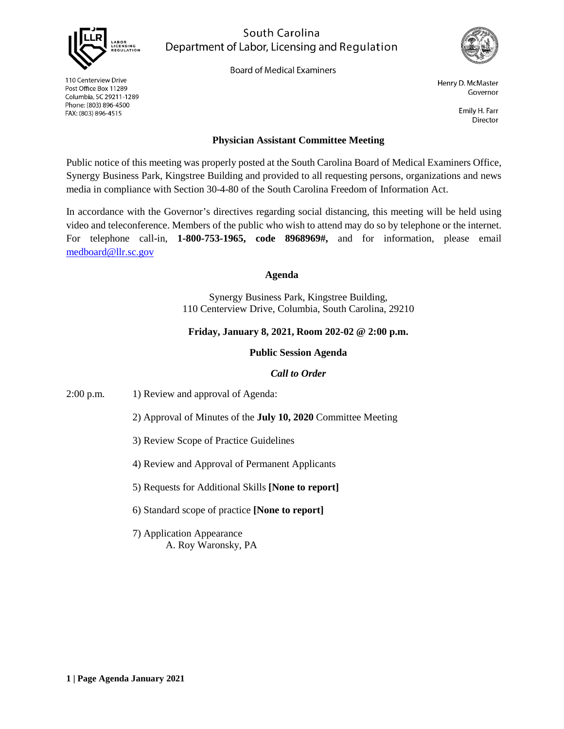

110 Centerview Drive

Post Office Box 11289

FAX: (803) 896-4515

Columbia, SC 29211-1289 Phone: (803) 896-4500

South Carolina Department of Labor, Licensing and Regulation

**Board of Medical Examiners** 



Henry D. McMaster Governor

> Emily H. Farr **Director**

## **Physician Assistant Committee Meeting**

Public notice of this meeting was properly posted at the South Carolina Board of Medical Examiners Office, Synergy Business Park, Kingstree Building and provided to all requesting persons, organizations and news media in compliance with Section 30-4-80 of the South Carolina Freedom of Information Act.

In accordance with the Governor's directives regarding social distancing, this meeting will be held using video and teleconference. Members of the public who wish to attend may do so by telephone or the internet. For telephone call-in, **1-800-753-1965, code 8968969#,** and for information, please email [medboard@llr.sc.gov](mailto:medboard@llr.sc.gov)

#### **Agenda**

Synergy Business Park, Kingstree Building, 110 Centerview Drive, Columbia, South Carolina, 29210

## **Friday, January 8, 2021, Room 202-02 @ 2:00 p.m.**

### **Public Session Agenda**

### *Call to Order*

2:00 p.m. 1) Review and approval of Agenda:

2) Approval of Minutes of the **July 10, 2020** Committee Meeting

- 3) Review Scope of Practice Guidelines
- 4) Review and Approval of Permanent Applicants

5) Requests for Additional Skills **[None to report]**

6) Standard scope of practice **[None to report]**

7) Application Appearance A. Roy Waronsky, PA